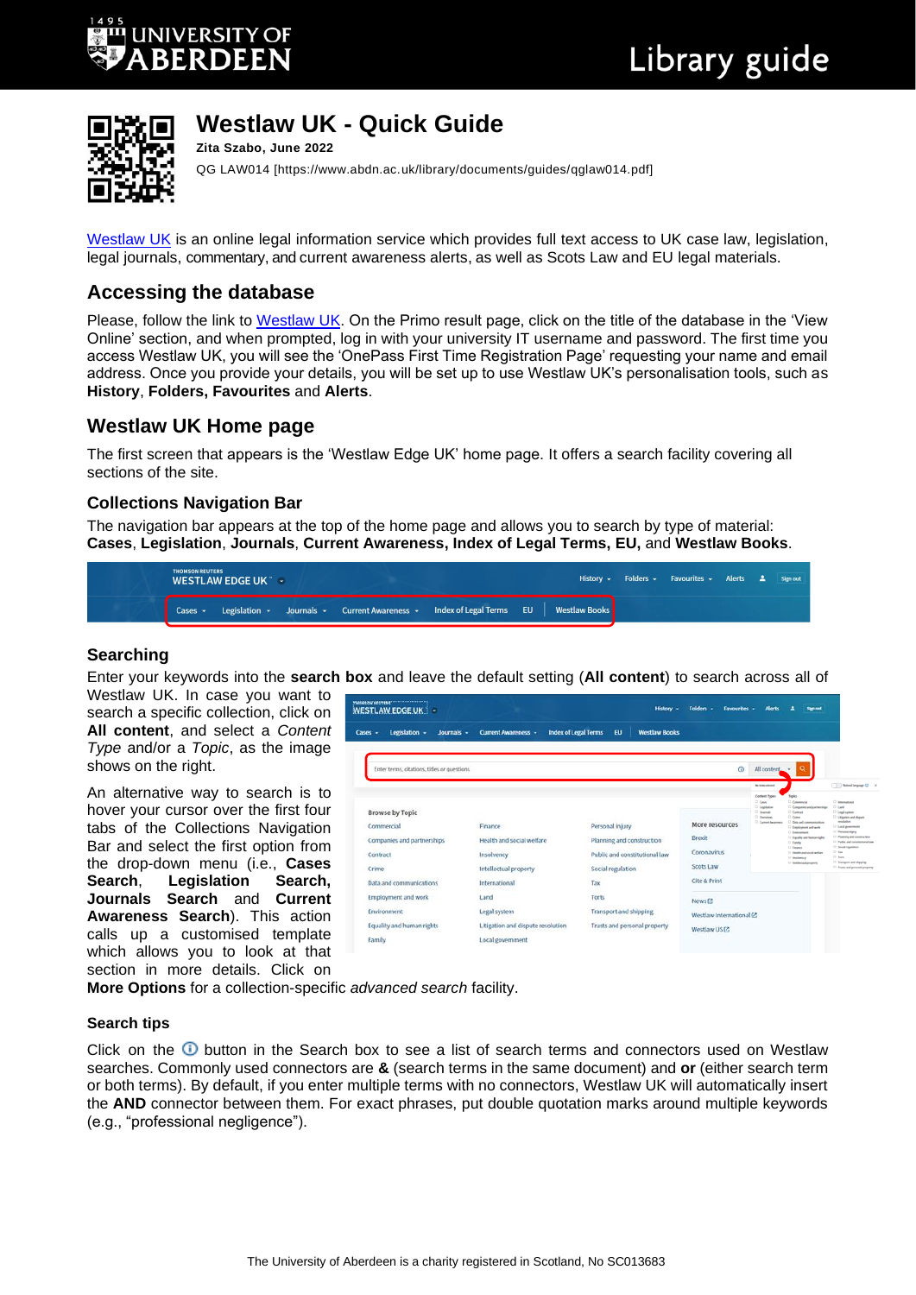

#### **Westlaw UK - Quick Guide Zita Szabo, June 2022**

QG LAW014 [https://www.abdn.ac.uk/library/documents/guides/qglaw014.pdf]

[Westlaw UK](https://abdn.primo.exlibrisgroup.com/permalink/44ABE_INST/1pkdbm7/alma990017511560205941) is an online legal information service which provides full text access to UK case law, legislation, legal journals, commentary, and current awareness alerts, as well as Scots Law and EU legal materials.

## **Accessing the database**

Please, follow the link to [Westlaw UK.](https://abdn.primo.exlibrisgroup.com/permalink/44ABE_INST/1pkdbm7/alma990017511560205941) On the Primo result page, click on the title of the database in the 'View Online' section, and when prompted, log in with your university IT username and password. The first time you access Westlaw UK, you will see the 'OnePass First Time Registration Page' requesting your name and email address. Once you provide your details, you will be set up to use Westlaw UK's personalisation tools, such as **History**, **Folders, Favourites** and **Alerts**.

## **Westlaw UK Home page**

The first screen that appears is the 'Westlaw Edge UK' home page. It offers a search facility covering all sections of the site.

#### **Collections Navigation Bar**

The navigation bar appears at the top of the home page and allows you to search by type of material: **Cases**, **Legislation**, **Journals**, **Current Awareness, Index of Legal Terms, EU,** and **Westlaw Books**.

| <b>THOMSON REUTERS</b><br><b>WESTLAW EDGE UK THE</b>                                         |  |  |  | History - Folders - Favourites - Alerts $\triangle$ Sign out |  |  |  |
|----------------------------------------------------------------------------------------------|--|--|--|--------------------------------------------------------------|--|--|--|
| Cases v Legislation v Journals v Current Awareness v Index of Legal Terms EU   Westlaw Books |  |  |  |                                                              |  |  |  |

#### **Searching**

Enter your keywords into the **search box** and leave the default setting (**All content**) to search across all of

Westlaw UK. In case you want to search a specific collection, click on **All content**, and select a *Content Type* and/or a *Topic*, as the image shows on the right.

An alternative way to search is to hover your cursor over the first four tabs of the Collections Navigation Bar and select the first option from the drop-down menu (i.e., **Cases Search**, **Legislation Search, Journals Search** and **Current Awareness Search**). This action calls up a customised template which allows you to look at that section in more details. Click on



**More Options** for a collection-specific *advanced search* facility.

#### **Search tips**

Click on the  $\bullet$  button in the Search box to see a list of search terms and connectors used on Westlaw searches. Commonly used connectors are **&** (search terms in the same document) and **or** (either search term or both terms). By default, if you enter multiple terms with no connectors, Westlaw UK will automatically insert the **AND** connector between them. For exact phrases, put double quotation marks around multiple keywords (e.g., "professional negligence").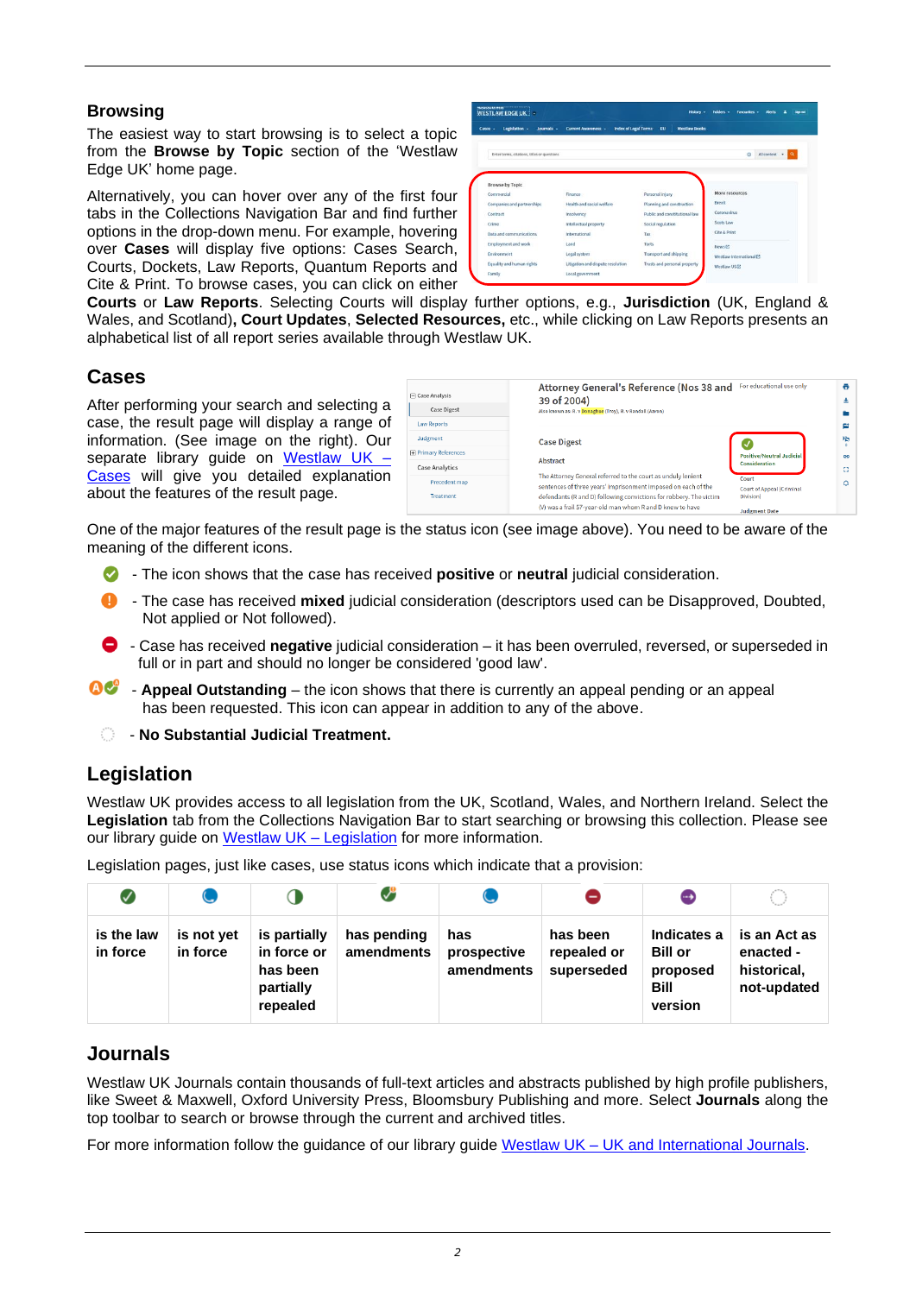#### **Browsing**

The easiest way to start browsing is to select a topic from the **Browse by Topic** section of the 'Westlaw Edge UK' home page.

Alternatively, you can hover over any of the first four tabs in the Collections Navigation Bar and find further options in the drop-down menu. For example, hovering over **Cases** will display five options: Cases Search, Courts, Dockets, Law Reports, Quantum Reports and Cite & Print. To browse cases, you can click on either

| tegislation -<br>Journals -<br>Cases -      | <b>Index of Legal Terms</b><br><b>Current Awareness -</b> | <b>Westlaw Rooks</b><br>EU    |                                                  |  |  |  |
|---------------------------------------------|-----------------------------------------------------------|-------------------------------|--------------------------------------------------|--|--|--|
| Enter terms, citations, titles or questions |                                                           |                               | All content v<br>$\omega$<br>$\alpha$            |  |  |  |
|                                             |                                                           |                               |                                                  |  |  |  |
| <b>Browse by Topic</b>                      |                                                           |                               |                                                  |  |  |  |
| Commercial                                  | <b>Finance</b>                                            | Personal injury               | More resources                                   |  |  |  |
| Companies and partnerships                  | Health and social welfare                                 | Planning and construction     | Reexit<br>Coronavirus                            |  |  |  |
|                                             |                                                           |                               |                                                  |  |  |  |
| Contract                                    | Insolvency                                                | Public and constitutional law |                                                  |  |  |  |
| Crime                                       | Intellectual property                                     | Social regulation             | Scots Law                                        |  |  |  |
| Data and communications                     | International                                             | Tax                           | Cite & Print                                     |  |  |  |
| <b>Employment and work</b>                  | Land                                                      | Torts                         |                                                  |  |  |  |
| Environment                                 | Legal system                                              | <b>Transport and shipping</b> | News <sub>[2]</sub><br>Westlaw International (2) |  |  |  |

**Courts** or **Law Reports**. Selecting Courts will display further options, e.g., **Jurisdiction** (UK, England & Wales, and Scotland)**, Court Updates**, **Selected Resources,** etc., while clicking on Law Reports presents an alphabetical list of all report series available through Westlaw UK.

### **Cases**

After performing your search and selecting a case, the result page will display a range of information. (See image on the right). Our separate library guide on Westlaw UK  $-$ [Cases](https://www.abdn.ac.uk/library/documents/guides/qglaw021.pdf) will give you detailed explanation about the features of the result page.

| Case Analysis             | Attorney General's Reference (Nos 38 and<br>39 of 2004)                                                                             | For educational use only                      |  |  |
|---------------------------|-------------------------------------------------------------------------------------------------------------------------------------|-----------------------------------------------|--|--|
| <b>Case Digest</b>        | Also known as: R. v Donaghue (Troy), R. v Randall (Aaron)                                                                           |                                               |  |  |
| Law Reports               |                                                                                                                                     |                                               |  |  |
| Judgment                  | <b>Case Digest</b>                                                                                                                  |                                               |  |  |
| <b>Primary References</b> |                                                                                                                                     | <b>Positive/Neutral Judicial</b>              |  |  |
| Case Analytics            | Abstract                                                                                                                            | Consideration                                 |  |  |
| Precedent map             | The Attorney General referred to the court as unduly lenient                                                                        | Court                                         |  |  |
| Treatment                 | sentences of three years' imprisonment imposed on each of the<br>defendants (R and D) following convictions for robbery. The victim | <b>Court of Appeal (Criminal</b><br>Division) |  |  |
|                           | (V) was a frail 57-year-old man whom R and D knew to have                                                                           | <b>Judgment Date</b>                          |  |  |

One of the major features of the result page is the status icon (see image above). You need to be aware of the meaning of the different icons.

- The icon shows that the case has received **positive** or **neutral** judicial consideration.
- **1** The case has received mixed judicial consideration (descriptors used can be Disapproved, Doubted, Not applied or Not followed).
- Case has received **negative** judicial consideration it has been overruled, reversed, or superseded in full or in part and should no longer be considered 'good law'.
- **OC Appeal Outstanding** the icon shows that there is currently an appeal pending or an appeal has been requested. This icon can appear in addition to any of the above.
	- $\circ$  No Substantial Judicial Treatment.

## **Legislation**

Westlaw UK provides access to all legislation from the UK, Scotland, Wales, and Northern Ireland. Select the **Legislation** tab from the Collections Navigation Bar to start searching or browsing this collection. Please see our library guide on [Westlaw UK –](https://www.abdn.ac.uk/library/documents/guides/qglaw022.pdf) Legislation for more information.

Legislation pages, just like cases, use status icons which indicate that a provision:

| ✓                      |                        |                                                                  | V                         |                                  |                                       | $\rightarrow$                                                       |                                                         |
|------------------------|------------------------|------------------------------------------------------------------|---------------------------|----------------------------------|---------------------------------------|---------------------------------------------------------------------|---------------------------------------------------------|
| is the law<br>in force | is not yet<br>in force | is partially<br>in force or<br>has been<br>partially<br>repealed | has pending<br>amendments | has<br>prospective<br>amendments | has been<br>repealed or<br>superseded | Indicates a<br><b>Bill or</b><br>proposed<br><b>Bill</b><br>version | is an Act as<br>enacted -<br>historical,<br>not-updated |

## **Journals**

Westlaw UK Journals contain thousands of full-text articles and abstracts published by high profile publishers, like Sweet & Maxwell, Oxford University Press, Bloomsbury Publishing and more. Select **Journals** along the top toolbar to search or browse through the current and archived titles.

For more information follow the guidance of our library guide Westlaw UK – [UK and International Journals.](https://www.abdn.ac.uk/library/documents/guides/qglaw023.pdf)